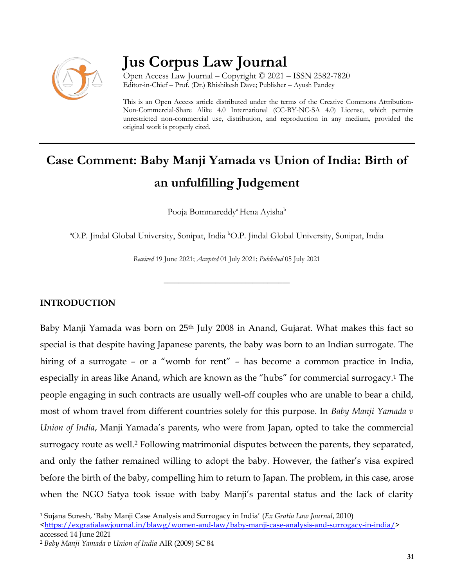

## **Jus Corpus Law Journal**

Open Access Law Journal – Copyright © 2021 – ISSN 2582-7820 Editor-in-Chief – Prof. (Dr.) Rhishikesh Dave; Publisher – Ayush Pandey

This is an Open Access article distributed under the terms of the Creative Commons Attribution-Non-Commercial-Share Alike 4.0 International (CC-BY-NC-SA 4.0) License, which permits unrestricted non-commercial use, distribution, and reproduction in any medium, provided the original work is properly cited.

# **Case Comment: Baby Manji Yamada vs Union of India: Birth of an unfulfilling Judgement**

Pooja Bommareddy<sup>a</sup> Hena Ayisha<sup>b</sup>

<sup>a</sup>O.P. Jindal Global University, Sonipat, India <sup>b</sup>O.P. Jindal Global University, Sonipat, India

*Received* 19 June 2021; *Accepted* 01 July 2021; *Published* 05 July 2021

\_\_\_\_\_\_\_\_\_\_\_\_\_\_\_\_\_\_\_\_\_\_\_\_\_\_\_\_\_\_\_\_\_\_

### **INTRODUCTION**

 $\overline{a}$ 

Baby Manji Yamada was born on 25th July 2008 in Anand, Gujarat. What makes this fact so special is that despite having Japanese parents, the baby was born to an Indian surrogate. The hiring of a surrogate – or a "womb for rent" – has become a common practice in India, especially in areas like Anand, which are known as the "hubs" for commercial surrogacy.<sup>1</sup> The people engaging in such contracts are usually well-off couples who are unable to bear a child, most of whom travel from different countries solely for this purpose. In *Baby Manji Yamada v Union of India*, Manji Yamada's parents, who were from Japan, opted to take the commercial surrogacy route as well.<sup>2</sup> Following matrimonial disputes between the parents, they separated, and only the father remained willing to adopt the baby. However, the father's visa expired before the birth of the baby, compelling him to return to Japan. The problem, in this case, arose when the NGO Satya took issue with baby Manji's parental status and the lack of clarity

<sup>1</sup> Sujana Suresh, 'Baby Manji Case Analysis and Surrogacy in India' (*Ex Gratia Law Journal*, 2010)

[<sup>&</sup>lt;https://exgratialawjournal.in/blawg/women-and-law/baby-manji-case-analysis-and-surrogacy-in-india/>](https://exgratialawjournal.in/blawg/women-and-law/baby-manji-case-analysis-and-surrogacy-in-india/) accessed 14 June 2021

<sup>2</sup> *Baby Manji Yamada v Union of India* AIR (2009) SC 84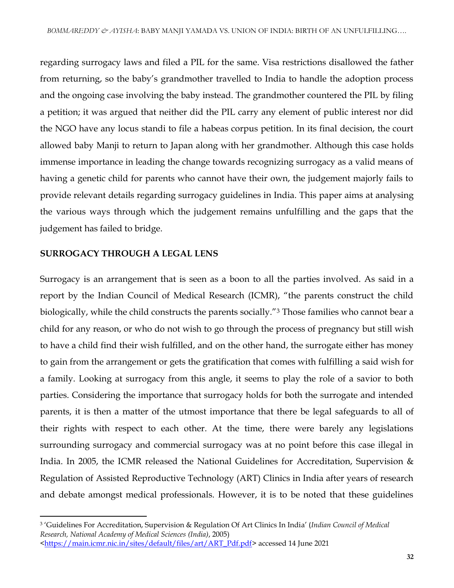regarding surrogacy laws and filed a PIL for the same. Visa restrictions disallowed the father from returning, so the baby's grandmother travelled to India to handle the adoption process and the ongoing case involving the baby instead. The grandmother countered the PIL by filing a petition; it was argued that neither did the PIL carry any element of public interest nor did the NGO have any locus standi to file a habeas corpus petition. In its final decision, the court allowed baby Manji to return to Japan along with her grandmother. Although this case holds immense importance in leading the change towards recognizing surrogacy as a valid means of having a genetic child for parents who cannot have their own, the judgement majorly fails to provide relevant details regarding surrogacy guidelines in India. This paper aims at analysing the various ways through which the judgement remains unfulfilling and the gaps that the judgement has failed to bridge.

#### **SURROGACY THROUGH A LEGAL LENS**

 $\overline{a}$ 

Surrogacy is an arrangement that is seen as a boon to all the parties involved. As said in a report by the Indian Council of Medical Research (ICMR), "the parents construct the child biologically, while the child constructs the parents socially."<sup>3</sup> Those families who cannot bear a child for any reason, or who do not wish to go through the process of pregnancy but still wish to have a child find their wish fulfilled, and on the other hand, the surrogate either has money to gain from the arrangement or gets the gratification that comes with fulfilling a said wish for a family. Looking at surrogacy from this angle, it seems to play the role of a savior to both parties. Considering the importance that surrogacy holds for both the surrogate and intended parents, it is then a matter of the utmost importance that there be legal safeguards to all of their rights with respect to each other. At the time, there were barely any legislations surrounding surrogacy and commercial surrogacy was at no point before this case illegal in India. In 2005, the ICMR released the National Guidelines for Accreditation, Supervision & Regulation of Assisted Reproductive Technology (ART) Clinics in India after years of research and debate amongst medical professionals. However, it is to be noted that these guidelines

<sup>3</sup> 'Guidelines For Accreditation, Supervision & Regulation Of Art Clinics In India' (*Indian Council of Medical Research, National Academy of Medical Sciences (India)*, 2005)

[<sup>&</sup>lt;https://main.icmr.nic.in/sites/default/files/art/ART\\_Pdf.pdf>](https://main.icmr.nic.in/sites/default/files/art/ART_Pdf.pdf) accessed 14 June 2021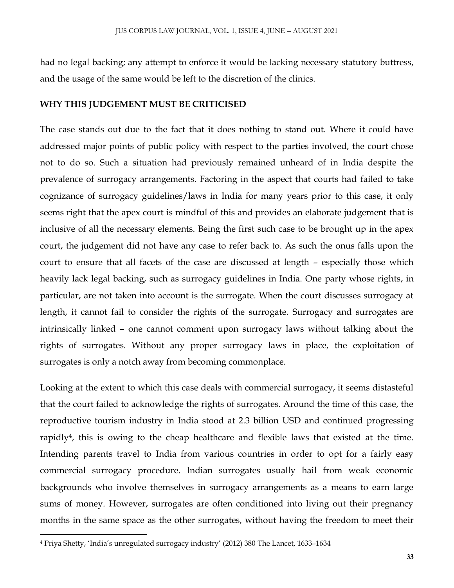had no legal backing; any attempt to enforce it would be lacking necessary statutory buttress, and the usage of the same would be left to the discretion of the clinics.

#### **WHY THIS JUDGEMENT MUST BE CRITICISED**

The case stands out due to the fact that it does nothing to stand out. Where it could have addressed major points of public policy with respect to the parties involved, the court chose not to do so. Such a situation had previously remained unheard of in India despite the prevalence of surrogacy arrangements. Factoring in the aspect that courts had failed to take cognizance of surrogacy guidelines/laws in India for many years prior to this case, it only seems right that the apex court is mindful of this and provides an elaborate judgement that is inclusive of all the necessary elements. Being the first such case to be brought up in the apex court, the judgement did not have any case to refer back to. As such the onus falls upon the court to ensure that all facets of the case are discussed at length – especially those which heavily lack legal backing, such as surrogacy guidelines in India. One party whose rights, in particular, are not taken into account is the surrogate. When the court discusses surrogacy at length, it cannot fail to consider the rights of the surrogate. Surrogacy and surrogates are intrinsically linked – one cannot comment upon surrogacy laws without talking about the rights of surrogates. Without any proper surrogacy laws in place, the exploitation of surrogates is only a notch away from becoming commonplace.

Looking at the extent to which this case deals with commercial surrogacy, it seems distasteful that the court failed to acknowledge the rights of surrogates. Around the time of this case, the reproductive tourism industry in India stood at 2.3 billion USD and continued progressing rapidly4, this is owing to the cheap healthcare and flexible laws that existed at the time. Intending parents travel to India from various countries in order to opt for a fairly easy commercial surrogacy procedure. Indian surrogates usually hail from weak economic backgrounds who involve themselves in surrogacy arrangements as a means to earn large sums of money. However, surrogates are often conditioned into living out their pregnancy months in the same space as the other surrogates, without having the freedom to meet their

l

<sup>4</sup> Priya Shetty, 'India's unregulated surrogacy industry' (2012) 380 The Lancet, 1633–1634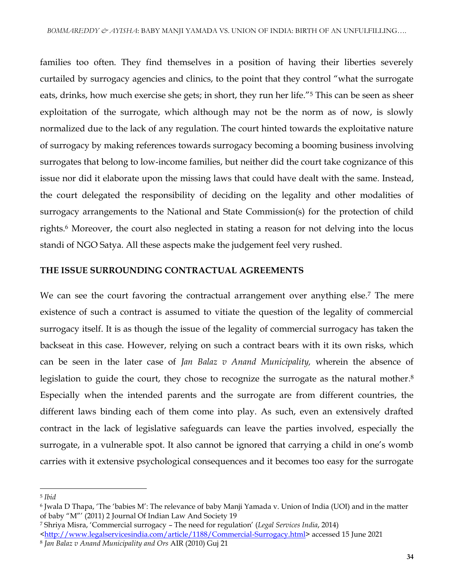families too often. They find themselves in a position of having their liberties severely curtailed by surrogacy agencies and clinics, to the point that they control "what the surrogate eats, drinks, how much exercise she gets; in short, they run her life.<sup>"5</sup> This can be seen as sheer exploitation of the surrogate, which although may not be the norm as of now, is slowly normalized due to the lack of any regulation. The court hinted towards the exploitative nature of surrogacy by making references towards surrogacy becoming a booming business involving surrogates that belong to low-income families, but neither did the court take cognizance of this issue nor did it elaborate upon the missing laws that could have dealt with the same. Instead, the court delegated the responsibility of deciding on the legality and other modalities of surrogacy arrangements to the National and State Commission(s) for the protection of child rights.<sup>6</sup> Moreover, the court also neglected in stating a reason for not delving into the locus standi of NGO Satya. All these aspects make the judgement feel very rushed.

#### **THE ISSUE SURROUNDING CONTRACTUAL AGREEMENTS**

We can see the court favoring the contractual arrangement over anything else.<sup>7</sup> The mere existence of such a contract is assumed to vitiate the question of the legality of commercial surrogacy itself. It is as though the issue of the legality of commercial surrogacy has taken the backseat in this case. However, relying on such a contract bears with it its own risks, which can be seen in the later case of *Jan Balaz v Anand Municipality,* wherein the absence of legislation to guide the court, they chose to recognize the surrogate as the natural mother*.* 8 Especially when the intended parents and the surrogate are from different countries, the different laws binding each of them come into play. As such, even an extensively drafted contract in the lack of legislative safeguards can leave the parties involved, especially the surrogate, in a vulnerable spot. It also cannot be ignored that carrying a child in one's womb carries with it extensive psychological consequences and it becomes too easy for the surrogate

 $\overline{\phantom{a}}$ 

<sup>5</sup> *Ibid*

<sup>6</sup> Jwala D Thapa, 'The 'babies M': The relevance of baby Manji Yamada v. Union of India (UOI) and in the matter of baby "M"' (2011) 2 Journal Of Indian Law And Society 19

<sup>7</sup> Shriya Misra, 'Commercial surrogacy – The need for regulation' (*Legal Services India*, 2014)

[<sup>&</sup>lt;http://www.legalservicesindia.com/article/1188/Commercial-Surrogacy.html>](http://www.legalservicesindia.com/article/1188/Commercial-Surrogacy.html) accessed 15 June 2021 8 *Jan Balaz v Anand Municipality and Ors* AIR (2010) Guj 21